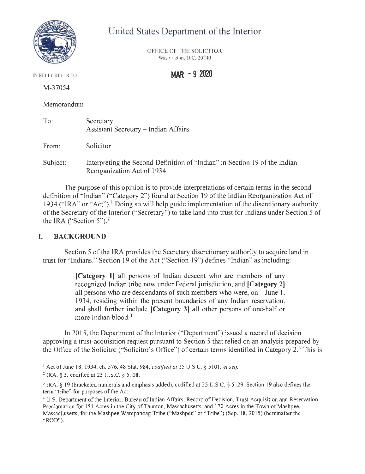

# United States Department of the Interior

OFFICE OF THE SOLICITOR Washington, D.C. 20240

IN RI PLY RLFER TO **MAR - 9 2020** 

M-37054

Memorandum

| To: | Secretary                                   |
|-----|---------------------------------------------|
|     | <b>Assistant Secretary – Indian Affairs</b> |

From: Solicitor

Subject: Interpreting the Second Definition of "Indian" in Section 19 of the Indian Reorganization Act of 1934

The purpose of this opinion is to provide interpretations of certain terms in the second definition of "Indian" ("Category 2") found at Section 19 of the Indian Reorganization Act of 1934 ("IRA" or "Act").<sup>1</sup> Doing so will help guide implementation of the discretionary authority of the Secretary of the Interior ("Secretary") to take land into trust for Indians under Section 5 of the IRA ("Section  $5$ ").<sup>2</sup>

# I. **BACKGROUND**

Section 5 of the IRA provides the Secretary discretionary authority to acquire land in trust for "Indians." Section 19 of the Act ("Section 19") defines " Indian" as including:

> **[Category 1]** all persons of Indian descent who are members of any recognized Indian tribe now under Federal jurisdiction, and **[Category 2]**  all persons who are descendants of such members who were, on June 1, 1934, residing within the present boundaries of any Indian reservation, and shall further include **[Category 3]** all other persons of one-half or more Indian blood.<sup>3</sup>

In 2015, the Department of the Interior ("Department") issued a record of decision approving a trust-acquisition request pursuant to Section 5 that relied on an analysis prepared by the Office of the Solicitor ("Solicitor's Office") of certain terms identified in Category 2.<sup>4</sup> This is

<sup>1</sup>Act of June 18, 1934, ch. 576, 48 Stat. 984, *codified at* 25 U.S.C. § 5 10 I, *et seq.* 

<sup>2</sup>IRA, § 5, codified at 25 U.S.C. § 5108.

<sup>&</sup>lt;sup>3</sup> IRA, § 19 (bracketed numerals and emphasis added), codified at 25 U.S.C. § 5129. Section 19 also defines the term "tribe" for purposes of the Act.

<sup>4</sup> U.S. Department of the Interior, Bureau of Indian Affairs, Record of Decision, Trust Acquisition and Reservation Proclamation for 15 1 Acres in the City of Taunton, Massachusetts, and 170 Acres in the Town of Mashpee, Massachusetts, for the Mashpee Wampanoag Tribe ("Mashpee" or "Tribe") (Sep. 18, 2015) (hereinafter the " ROD").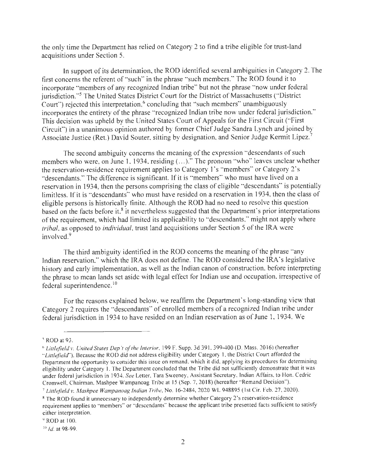the only time the Department has relied on Category 2 to find a tribe eligible for trust-land acquisitions under Section 5.

In support of its determination, the ROD identified several ambiguities in Category 2. The first concerns the referent of "such" in the phrase "such members." The ROD found it to incorporate "members of any recognized Indian tribe" but not the phrase "now under federal jurisdiction."<sup>5</sup> The United States District Court for the District of Massachusetts ("District Court") rejected this interpretation, 6 concluding that "such members" unambiguously incorporates the entirety of the phrase "recognized Indian tribe now under federal jurisdiction." This decision was upheld by the United States Court of Appeals for the First Circuit ("First Circuit") in a unanimous opinion authored by former Chief Judge Sandra Lynch and joined by Associate Justice (Ret.) David Souter, sitting by designation, and Senior Judge Kermit Lipez.<sup>7</sup>

The second ambiguity concerns the meaning of the expression "descendants of such members who were, on June 1, 1934, residing (...)." The pronoun "who" leaves unclear whether the reservation-residence requirement applies to Category 1's "members" or Category 2's "descendants." The difference is significant. If it is "members" who must have lived on a reservation in 1934, then the persons comprising the class of eligible "descendants" is potentially limitless. If it is "descendants" who must have resided on a reservation in 1934, then the class of eligible persons is historically finite. Although the ROD had no need to resolve this question based on the facts before it,<sup>8</sup> it nevertheless suggested that the Department's prior interpretations of the requirement, which had limited its applicability to "descendants," might not apply where *tribal,* as opposed to *individual,* trust land acquisitions under Section 5 of the IRA were involved. 9

The third ambiguity identified in the ROD concerns the meaning of the phrase "any Indian reservation," which the IRA does not define. The ROD considered the IRA's legislative history and early implementation, as well as the Indian canon of construction, before interpreting the phrase to mean lands set aside with legal effect for Indian use and occupation, irrespective of federal superintendence.<sup>10</sup>

For the reasons explained below, we reaffirm the Department's long-standing view that Category 2 requires the "descendants" of enrolled members of a recognized Indian tribe under federal jurisdiction in 1934 to have resided on an Indian reservation as of June 1, 1934. We

*<sup>5</sup>*ROD at 93.

<sup>6</sup>*Littlefield* v. *United States Dep* 'r *of the Interior,* 199 F. Supp. 3d 391 , 399-400 (D. Mass. 2016) (hereafter *·'Littlefield" ).* Because the ROD did not address eligibility under Category I, the District Court afforded the Department the opportunity to consider this issue on remand, which it did, applying its procedures for determining eligibility under Category 1. The Department concluded that the Tribe did not sufficiently demonstrate that it was under federal jurisdiction in 1934. *See* Letter, Tara Sweeney, Assistant Secretary, Indian Affairs, to Hon. Cedric Cromwell, Chairman, Mashpee Wampanoag Tribe at 15 (Sep. 7, 2018) (hereafter "Remand Decision").

<sup>7</sup>*Littlefield v. Mashpee Wampanoag Indian Tribe,* No. 16-2484, 2020 WL 948895 ( I st Cir. Feb. 27, 2020).

<sup>8</sup>The ROD found it unnecessary to independently determine whether Category 2's reservation-residence requirement applies to "members" or "descendants" because the applicant tribe presented facts sufficient to satisfy either interpretation.

<sup>9</sup>ROD at 100.

<sup>10</sup>*Id.* at 98-99.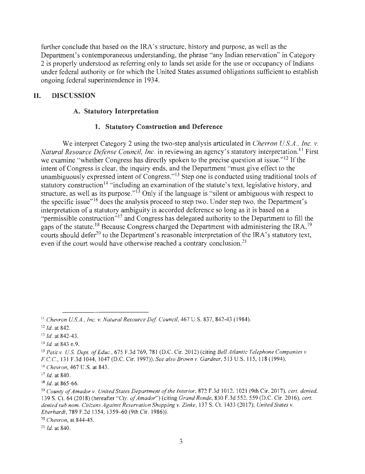further conclude that based on the IRA's structure, history and purpose, as well as the Department's contemporaneous understanding, the phrase "any Indian reservation" in Category 2 is properly understood as referring only to lands set aside for the use or occupancy of Indians under federal authority or for which the United States assumed obligations sufficient to establish ongoing federal superintendence in 1934.

# **II. DISCUSSION**

### **A. Statutory Interpretation**

### **1. Statutory Construction and Deference**

We interpret Category 2 using the two-step analysis articulated in *Chevron U.S.A., Inc. v. Natural Resource Defense Council, Inc.* in reviewing an agency's statutory interpretation.<sup>11</sup> First we examine "whether Congress has directly spoken to the precise question at issue." $12$  If the intent of Congress is clear, the inquiry ends, and the Department "must give effect to the unambiguously expressed intent of Congress."<sup>13</sup> Step one is conducted using traditional tools of statutory construction<sup>14</sup> "including an examination of the statute's text, legislative history, and structure, as well as its purpose." $\overline{15}$  Only if the language is "silent or ambiguous with respect to the specific issue"<sup> $16$ </sup> does the analysis proceed to step two. Under step two, the Department's interpretation of a statutory ambiguity is accorded deference so long as it is based on a "permissible construction"<sup>17</sup> and Congress has delegated authority to the Department to fill the gaps of the statute.<sup>18</sup> Because Congress charged the Department with administering the IRA,<sup>19</sup> courts should defer<sup>20</sup> to the Department's reasonable interpretation of the IRA's statutory text, even if the court would have otherwise reached a contrary conclusion.<sup>21</sup>

<sup>11</sup>*Chevron U.S.A., Inc.* v. *Natural Resource Def Council,* 467 U.S. 837, 842-43 (1984).

 $12$  *Id.* at 842.

<sup>13</sup>*Id.* at 842-43.

<sup>14</sup>*Id.* at 843 n.9.

<sup>15</sup>*Petit* v. *U.S. Dept. of Educ.,* 675 F.3d 769, 781 (D.C. Cir. 2012) (citing *Bell Atlantic Telephone Companies* v. F.C.C. , 131 F.3d 1044, 1047 (D.C. Cir. 1997)). *See also Brown* v. *Gardner,* 513 U.S. 115, 118 (1994). <sup>16</sup>*Chevron,* 467 U.S. at 843.

<sup>17</sup>*Id.* at 840.

 $18$  Id. at 865-66.

<sup>&</sup>lt;sup>19</sup> County of Amador v. *United States Department of the Interior*, 872 F.3d 1012, 1021 (9th Cir. 2017), *cert. denied,* 139 S. Ct. 64(2018) (hereafter *"Cty. of Amador")* (citing *Grand Ronde,* 830 F.3d 552, 559 (D.C. Cir. 2016), *cert. denied sub nom. Citizens Against Reservation Shopping* v. *Zinke,* 137 S. Ct. 1433(20 17); *United States v. Eberhardt,* 789 F.2d 1354, 1359-60 (9th Cir. 1986)).

<sup>2</sup> ° *Chevron,* at 844-45.

<sup>21</sup>*Id.* at 840.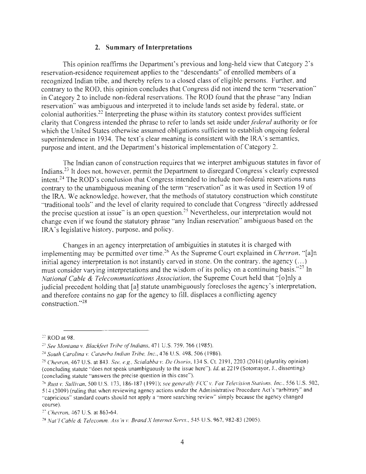### **2. Summary of Interpretations**

This opinion reaffirms the Department's previous and long-held view that Category 2's reservation-residence requirement applies to the "descendants" of enrolled members of a recognized Indian tribe, and thereby refers to a closed class of eligible persons. Further, and contrary to the ROD, this opinion concludes that Congress did not intend the term "reservation" in Category 2 to include non-federal reservations. The ROD found that the phrase "any Indian reservation" was ambiguous and interpreted it to include lands set aside by federal, state, or colonial authorities.22 Interpreting the phase within its statutory context provides sufficient clarity that Congress intended the phrase to refer to lands set aside under *federal* authority or for which the United States otherwise assumed obligations sufficient to establish ongoing federal superintendence in 1934. The text's clear meaning is consistent with the IRA's semantics, purpose and intent, and the Department's historical implementation of Category 2.

The Indian canon of construction requires that we interpret ambiguous statutes in favor of Indians.<sup>23</sup> It does not, however, permit the Department to disregard Congress's clearly expressed intent.<sup>24</sup> The ROD's conclusion that Congress intended to include non-federal reservations runs contrary to the unambiguous meaning of the term "reservation" as it was used in Section 19 of the IRA. We acknowledge, however, that the methods of statutory construction which constitute 'traditional tools" and the level of clarity required to conclude that Congress "directly addressed the precise question at issue" is an open question.25 Nevertheless, our interpretation would not change even if we found the statutory phrase " any Indian reservation" ambiguous based on the IRA's legislative history, purpose, and policy.

Changes in an agency interpretation of ambiguities in statutes it is charged with implementing may be permitted over time.<sup>26</sup> As the Supreme Court explained in *Chevron*, "[a]n initial agency interpretation is not instantly carved in stone. On the contrary, the agency  $(...)$ must consider varying interpretations and the wisdom of its policy on a continuing basis."<sup>27</sup> In *National Cable & Telecommunications Association,* the Supreme Court held that " [o]nly a judicial precedent holding that [a] statute unambiguously forecloses the agency's interpretation, and therefore contains no gap for the agency to fill, displaces a conflicting agency construction. " <sup>28</sup>

 $22$  ROD at 98.

<sup>23</sup>*See Montana v. Blackfeet Tribe of Indians,* 471 U.S. 759, 766 ( 1985).

<sup>24</sup>*South Carolina v. Catawba Indian Tribe, Inc.,* 476 U.S. 498, 506 ( 1986).

<sup>25</sup>*Chevron,* 467 U.S. at 843. *See, e.g., Scialabba v. De Osorio,* 134 S. Ct. 219 1, 2203 (2014) (plurality opinion) (concluding statute "does not speak unambiguously to the issue here"). *Id.* at 22 19 (Sotomayor, J., dissenting) (concluding statute "answers the precise question in this case" ).

<sup>&</sup>lt;sup>26</sup> Rust v. Sullivan, 500 U.S. 173, 186-187 (1991); see generally FCC v. Fox Television Stations, Inc., 556 U.S. 502, 514 (2009) (ruling that when reviewing agency actions under the Administrative Procedure Act's "arbitrary" and ·'capricious" standard courts should not apply a "more searching review" simply because the agency changed course).

<sup>27</sup>*Chevron,* 467 U.S. at 863-64.

<sup>28</sup>*Nat 'I Cable & Telecomm. Ass 'n v. Brand X Internet Servs.,* 545 U.S. 967, 982-83 (2005).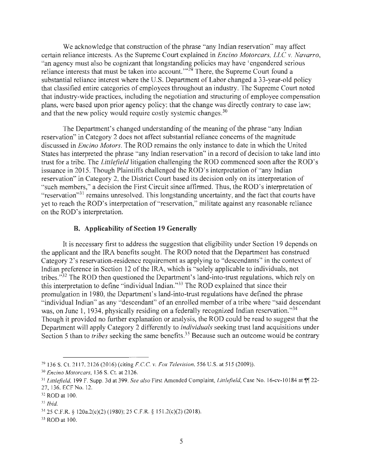We acknowledge that construction of the phrase "any Indian reservation" may affect certain reliance interests. As the Supreme Court explained in *Encino Motorcars, LLC v. Navarro,*  "an agency must also be cognizant that longstanding policies may have 'engendered serious reliance interests that must be taken into account.  $\frac{30}{2}$  There, the Supreme Court found a substantial reliance interest where the U.S. Department of Labor changed a 33-year-old policy that classified entire categories of employees throughout an industry. The Supreme Court noted that industry-wide practices, including the negotiation and structuring of employee compensation plans, were based upon prior agency policy; that the change was directly contrary to case law; and that the new policy would require costly systemic changes. $30$ 

The Department's changed understanding of the meaning of the phrase "any Indian reservation" in Category 2 does not affect substantial reliance concerns of the magnitude discussed in *Encino Motors.* The ROD remains the only instance to date in which the United States has interpreted the phrase "any Indian reservation" in a record of decision to take land into trust for a tribe. The *Littlefield* litigation challenging the ROD commenced soon after the ROD's issuance in 2015. Though Plaintiffs challenged the ROD's interpretation of "any Indian" reservation" in Category 2, the District Court based its decision only on its interpretation of "such members," a decision the First Circuit since affirmed. Thus, the ROD's interpretation of "reservation"<sup>31</sup> remains unresolved. This longstanding uncertainty, and the fact that courts have yet to reach the ROD's interpretation of "reservation," militate against any reasonable reliance on the ROD's interpretation.

#### **B. Applicability of Section 19 Generally**

It is necessary first to address the suggestion that eligibility under Section 19 depends on the applicant and the IRA benefits sought. The ROD noted that the Department has construed Category 2's reservation-residence requirement as applying to "descendants" in the context of Indian preference in Section 12 of the IRA, which is "solely applicable to individuals, not tribes."<sup>32</sup> The ROD then questioned the Department's land-into-trust regulations, which rely on this interpretation to define "individual lndian."33 The ROD explained that since their promulgation in 1980, the Department's land-into-trust regulations have defined the phrase "individual Indian" as any "descendant" of an enrolled member of a tribe where "said descendant was, on June 1, 1934, physically residing on a federally recognized Indian reservation.<sup>334</sup> Though it provided no further explanation or analysis, the ROD could be read to suggest that the Department will apply Category 2 differently to *individuals* seeking trust land acquisitions under Section 5 than to *tribes* seeking the same benefits.<sup>35</sup> Because such an outcome would be contrary

<sup>&</sup>lt;sup>29</sup> 136 S. Ct. 2117, 2126 (2016) (citing F.C.C. *v. Fox Television*, 556 U.S. at 515 (2009)).

<sup>30</sup>*Encino Motorcars,* 136 S. Ct. at 2 126.

<sup>&</sup>lt;sup>31</sup> Littlefield, 199 F. Supp. 3d at 399. See also First Amended Complaint, Littlefield, Case No. 16-cv-10184 at ¶ 22-27, 136, ECF No. 12.

 $32$  ROD at 100.

<sup>33</sup>*Ibid.* 

<sup>34 25</sup> C.F.R. § 120a.2(c)(2) ( 1980); 25 C.F.R. § I 51.2(c)(2) (2018).

<sup>&</sup>lt;sup>35</sup> ROD at 100.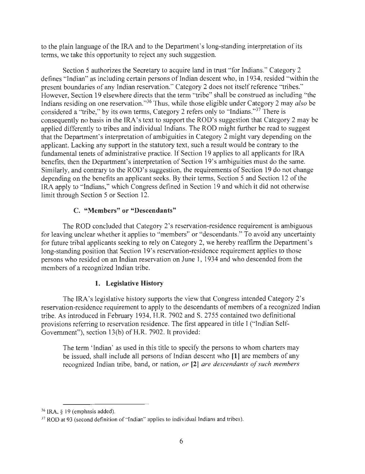to the plain language of the IRA and to the Department's long-standing interpretation of its terms, we take this opportunity to reject any such suggestion.

Section 5 authorizes the Secretary to acquire land in trust "for Indians." Category 2 defines "Indian" as including certain persons of Indian descent who, in 1934, resided "within the present boundaries of any Indian reservation." Category 2 does not itself reference "tribes." However, Section 19 elsewhere directs that the term "tribe" shall be construed as including "the Indians residing on one reservation."36 Thus, while those eligible under Category 2 may *also* be considered a "tribe," by its own terms, Category 2 refers only to "Indians."37 There is consequently no basis in the IRA's text to support the ROD's suggestion that Category 2 may be applied differently to tribes and individual Indians. The ROD might further be read to suggest that the Department's interpretation of ambiguities in Category 2 might vary depending on the applicant. Lacking any support in the statutory text, such a result would be contrary to the fundamental tenets of administrative practice. If Section 19 applies to all applicants for IRA benefits, then the Department's interpretation of Section 19's ambiguities must do the same. Similarly, and contrary to the ROD's suggestion, the requirements of Section 19 do not change depending on the benefits an applicant seeks. By their terms, Section 5 and Section 12 of the IRA apply to "Indians," which Congress defined in Section 19 and which it did not otherwise limit through Section 5 or Section 12.

# **C. "Members" or "Descendants"**

The ROD concluded that Category 2's reservation-residence requirement is ambiguous for leaving unclear whether it applies to "members" or "descendants." To avoid any uncertainty for future tribal applicants seeking to rely on Category 2, we hereby reaffirm the Department's long-standing position that Section 19's reservation-residence requirement applies to those persons who resided on an Indian reservation on June 1, 1934 and who descended from the members of a recognized Indian tribe.

# **1. Legislative History**

The IRA's legislative history supports the view that Congress intended Category 2's reservation-residence requirement to apply to the descendants of members of a recognized Indian tribe. As introduced in February 1934, H.R. 7902 and S. 2755 contained two definitional provisions referring to reservation residence. The first appeared in title I (" Indian Self-Government"), section 13(b) of H.R. 7902. It provided:

The term 'Indian' as used in this title to specify the persons to whom charters may be issued, shall include all persons of Indian descent who **[1]** are members of any recognized Indian tribe, band, or nation, *or* **[2]** *are descendants of such members* 

 $36$  IRA, § 19 (emphasis added).

<sup>&</sup>lt;sup>37</sup> ROD at 93 (second definition of "Indian" applies to individual Indians and tribes).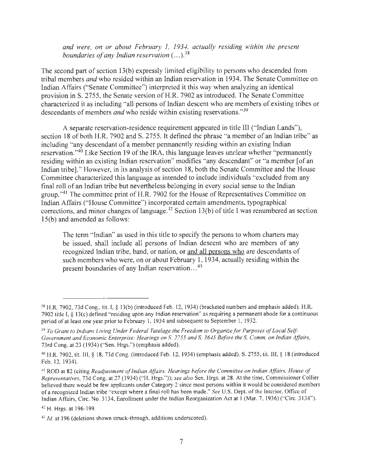and were, on or about February 1, 1934, actually residing within the present *boundaries of any Indian reservation* ( ... ). 38

The second part of section 13(b) expressly limited eligibility to persons who descended from tribal members *and* who resided within an Indian reservation in 1934. The Senate Committee on Indian Affairs ("Senate Committee") interpreted it this way when analyzing an identical provision in S. 2755, the Senate version of H.R. 7902 as introduced. The Senate Committee characterized it as including "all persons of Indian descent who are members of existing tribes or descendants of members *and* who reside within existing reservations. "<sup>39</sup>

A separate reservation-residence requirement appeared in title III ("Indian Lands"), section 18 of both H.R. 7902 and S. 2755. It defined the phrase "a member of an Indian tribe" as including "any descendant of a member permanently residing within an existing Indian reservation."40 Like Section 19 of the IRA, this language leaves unclear whether "permanently residing within an existing Indian reservation" modifies "any descendant" or "a member [of an Indian tribe]." However, in its analysis of section 18, both the Senate Committee and the House Committee characterized this language as intended to include individuals "excluded from any final roll of an Indian tribe but nevertheless belonging in every social sense to the Indian group."<sup>41</sup> The committee print of H.R. 7902 for the House of Representatives Committee on Indian Affairs ("House Committee") incorporated certain amendments, typographical corrections, and minor changes of language.<sup> $42$ </sup> Section 13(b) of title 1 was renumbered as section 15(b) and amended as follows:

The term "Indian" as used in this title to specify the persons to whom charters may be issued, shall include all persons of Indian descent who are members of any recognized Indian tribe, band, or nation, or and all persons who are descendants of such members who were, on or about February 1, 1934, actually residing within the present boundaries of any Indian reservation...<sup>43</sup>

<sup>&</sup>lt;sup>38</sup> H.R. 7902, 73d Cong., tit. I, § 13(b) (introduced Feb. 12, 1934) (bracketed numbers and emphasis added). H.R. 7902 title I,§ 13(c) defined "residing upon any Indian reservation" as requiring a permanent abode for a continuous period of at least one year prior to February I, 1934 and subsequent to September I, 1932.

<sup>39</sup>To *Grant to Indians Living Under Federal Tutelage the Freedom to Organize for Purposes of Local Self Government and Economic Enterprise: Hearings on* S. *2755 and* S. *3645 Before the* S. *Comm. on Indian Affairs,*  73rd Cong. at 23 (1934) ("Sen. Hrgs.") (emphasis added).

<sup>40</sup> H.R. 7902, tit. Ill,§ 18, 73d Cong. (introduced Feb. 12, 1934) (emphasis added). S. 2755, tit. III,§ 18 (introduced Feb. 12, 1934).

<sup>41</sup> ROD at 82 (citing *Readjustment of Indian Affairs. Hearings before the Committee on Indian Affairs, House of Representatives,* 73d Cong. at 27 ( 1934) ("H. Hrgs.")); *see also* Sen. Hrgs. at 28. At the time, Commissioner Collier believed there would be few applicants under Category 2 since most persons within it would be considered members ofa recognized Indian tribe "except where a final roll has been made." *See* U.S. Dept. of the Interior, Office of Indian Affairs, Circ. No. 3 134, Enrollment under the Indian Reorganization Act at I (Mar. 7, 1936) ("Circ. 3134").

<sup>42</sup> H. Hrgs. at 196-199.

<sup>&</sup>lt;sup>43</sup> *Id.* at 196 (deletions shown struck-through, additions underscored).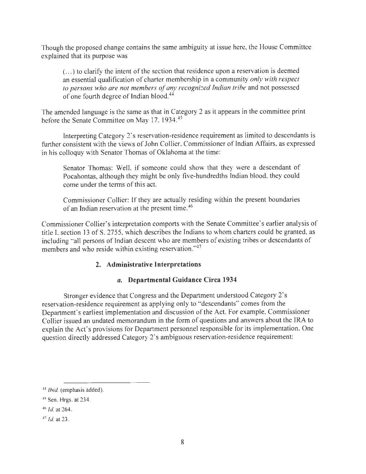Though the proposed change contains the same ambiguity at issue here, the House Committee explained that its purpose was

( ... ) to clarify the intent of the section that residence upon a reservation is deemed an essential qualification of charter membership in a community *only with respect to persons who are not members of any recognized Indian tribe* and not possessed of one fourth degree of Indian blood.44

The amended language is the same as that in Category 2 as it appears in the committee print before the Senate Committee on May 17, 1934.<sup>45</sup>

Interpreting Category 2's reservation-residence requirement as limited to descendants is further consistent with the views of John Collier, Commissioner of Indian Affairs, as expressed in his colloquy with Senator Thomas of Oklahoma at the time:

Senator Thomas: Well, if someone could show that they were a descendant of Pocahontas, although they might be only five-hundredths Indian blood, they could come under the terms of this act.

Commissioner Collier: If they are actually residing within the present boundaries of an Indian reservation at the present time.<sup>46</sup>

Commissioner Collier's interpretation comports with the Senate Committee's earlier analysis of title I, section 13 of S. 2755, which describes the Indians to whom charters could be granted, as including "all persons of Indian descent who are members of existing tribes or descendants of members and who reside within existing reservation."47

# **2. Administrative Interpretations**

# *a.* **Departmental Guidance Circa 1934**

Stronger evidence that Congress and the Department understood Category 2's reservation-residence requirement as applying only to "descendants" comes from the Department's earliest implementation and discussion of the Act. For example, Commissioner Collier issued an undated memorandum in the form of questions and answers about the IRA to explain the Act's provisions for Department personnel responsible for its implementation. One question directly addressed Category 2's ambiguous reservation-residence requirement:

<sup>44</sup>*Ibid.* (emphasis added).

<sup>&</sup>lt;sup>45</sup> Sen. Hrgs. at 234.

<sup>46</sup>*Id.* at 264.

<sup>47</sup>*Id.* at 23.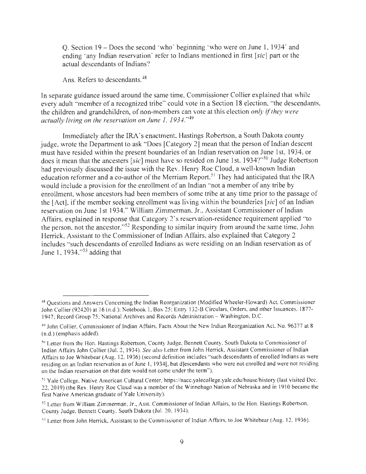Q. Section 19 - Does the second 'who' beginning 'who were on June 1, 1934' and ending 'any Indian reservation' refer to Indians mentioned in first *[sic]* part or the actual descendants of Indians?

Ans. Refers to descendants.<sup>48</sup>

In separate guidance issued around the same time, Commissioner Collier explained that while every adult "member of a recognized tribe" could vote in a Section 18 election, "the descendants, the children and grandchildren, of non-members can vote at this election *only if they were*  actually living on the reservation on June 1, 1934."<sup>49</sup>

Immediately after the IRA's enactment, Hastings Robertson, a South Dakota county judge, wrote the Department to ask "Does [Category 2] mean that the person of Indian descent must have resided within the present boundaries of an Indian reservation on June 1st, 1934, or does it mean that the ancesters *[sic]* must have so resided on June 1st, 1934?"50 Judge Robertson had previously discussed the issue with the Rev. Henry Roe Cloud, a well-known Indian education reformer and a co-author of the Merriam Report.<sup>51</sup> They had anticipated that the IRA would include a provision for the enrollment of an Indian "not a member of any tribe by enrollment, whose ancestors had been members of some tribe at any time prior to the passage of the [Act], if the member seeking enrollment was living within the bounderies *[sic]* of an Indian reservation on June 1st 1934." William Zimmerman, Jr., Assistant Commissioner of Indian Affairs, explained in response that Category 2's reservation-residence requirement applied "to the person, not the ancestor."52 Responding to similar inquiry from around the same time, John Herrick, Assistant to the Commissioner of Indian Affairs, also explained that Category 2 includes "such descendants of enrolled Indians as were residing on an Indian reservation as of June 1, 1934," $53$  adding that

<sup>48</sup> Questions and Answers Concerning the Indian Reorganization (Modified Wheeler-Howard) Act, Commissioner John Collier (92420) at 16 (n.d.); Notebook 1, Box 25; Entry 132-B Circulars, Orders, and other Issuances, 1877-1947; Record Group 75; National Archives and Records Administration - Washington, D.C.

<sup>49</sup> John Collier, Commissioner of Indian Affairs, Facts About the New Indian Reorganization Act, No. 96377 at 8 (n.d.) (emphasis added).

<sup>50</sup> Letter from the Hon. Hastings Robertson, County Judge, Bennett County, South Dakota to Commissioner of Indian Affairs John Collier (Jul. 2, 1934). *See also* Letter from John Herrick, Assistant Commissioner of Indian Affairs to Joe Whitebear (Aug. 12, 1936) (second definition includes ·'such descendants of enrolled Indians as were residing on an Indian reservation as of June I, 1934[, but d]escendants who were not enrolled and were not residing on the Indian reservation on that date would not come under the term").

<sup>51</sup>Yale College, Native American Cultural Center, https://nacc.yalecollege.yale.edu/house/history (last visited Dec. 22, 20 19) (the Rev. Henry Roe Cloud was a member of the Winnebago Nation of Nebraska and in 1910 became the first Native American graduate of Yale University).

<sup>52</sup>Letter from William Zimmerman, Jr., Asst. Commissioner of Indian Affairs, to the Hon. Hastings Robertson, County Judge, Bennett County, South Dakota (Jul. 20, 1934).

<sup>53</sup> Letter from John Herrick, Assistant to the Commissioner of Indian Affairs, to Joe Whitebear (Aug. 12, 1936).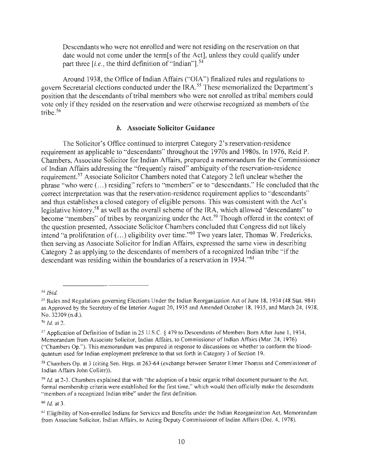Descendants who were not enrolled and were not residing on the reservation on that date would not come under the term[s of the Act], unless they could qualify under part three  $[i.e.,$  the third definition of "Indian"].<sup>54</sup>

Around 1938, the Office of Indian Affairs ("OJA") finalized rules and regulations to govern Secretarial elections conducted under the IRA.<sup>55</sup> These memorialized the Department's position that the descendants of tribal members who were not enrolled as tribal members could vote only if they resided on the reservation and were otherwise recognized as members of the tribe.<sup>56</sup>

#### *b.* **Associate Solicitor Guidance**

The Solicitor's Office continued to interpret Category 2's reservation-residence requirement as applicable to "descendants" throughout the 1970s and 1980s. In 1976, Reid P. Chambers, Associate Solicitor for Indian Affairs, prepared a memorandum for the Commissioner of Indian Affairs addressing the "frequently raised" ambiguity of the reservation-residence requirement.<sup>57</sup> Associate Solicitor Chambers noted that Category 2 left unclear whether the phrase "who were ( ... ) residing" refers to "members" or to "descendants." He concluded that the correct interpretation was that the reservation-residence requirement applies to "descendants" and thus establishes a closed category of eligible persons. This was consistent with the Act's legislative history, 58 as well as the overall scheme of the IRA, which allowed "descendants" to become "members" of tribes by reorganizing under the Act.<sup>59</sup> Though offered in the context of the question presented, Associate Solicitor Chambers concluded that Congress did not likely intend "a proliferation of (...) eligibility over time."<sup>60</sup> Two years later, Thomas W. Fredericks, then serving as Associate Solicitor for Indian Affairs, expressed the same view in describing Category 2 as applying to the descendants of members of a recognized Indian tribe "if the descendant was residing within the boundaries of a reservation in 1934."<sup>61</sup>

 $56$  Id. at 2.

<sup>60</sup>*Id.* at 3.

<sup>54</sup>*Ibid.* 

<sup>&</sup>lt;sup>55</sup> Rules and Regulations governing Elections Under the Indian Reorganization Act of June 18, 1934 (48 Stat. 984) as Approved by the Secretary of the Interior August 20, 1935 and Amended October 18, 1935, and March 24, 1938, No. 32309 (n.d.).

<sup>57</sup> Application of Definition of Indian in 25 U.S.C. § 479 to Descendants of Members Born After June I, 1934, Memorandum from Associate Solicitor, Indian Affairs, to Commissioner of Indian Affairs (Mar. 24, 1976) ("Chambers Op."). This memorandum was prepared in response to discussions on whether to conform the bloodquantum used for Indian employment preference to that set forth in Category 3 of Section 19.

<sup>58</sup> Chambers Op. at 3 (citing Sen. Hrgs. at 263-64 (exchange between Senator Elmer Thomas and Commissioner of Indian Affairs John Collier)).

 $59$  *Id.* at 2-3. Chambers explained that with "the adoption of a basic organic tribal document pursuant to the Act, formal membership criteria were established for the first time," which would then officially make the descendants "members of a recognized Indian tribe" under the first definition.

<sup>&</sup>lt;sup>61</sup> Eligibility of Non-enrolled Indians for Services and Benefits under the Indian Reorganization Act, Memorandum from Associate Solicitor, Indian Affairs, to Acting Deputy Commissioner of Indian Affairs (Dec. 4, 1978).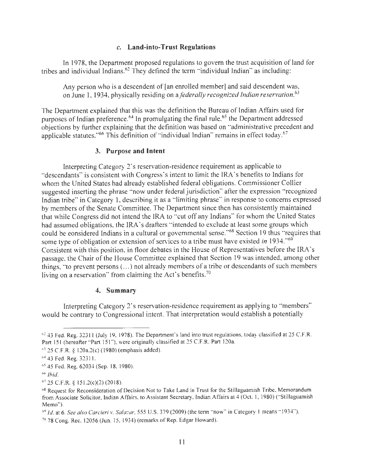#### *c.* **Land-into-Trust Regulations**

In 1978, the Department proposed regulations to govern the trust acquisition of land for tribes and individual Indians.<sup>62</sup> They defined the term "individual Indian" as including:

Any person who is a descendent of [an enrolled member] and said descendent was, on June 1, 1934, physically residing on a *federally recognized Indian reservation.<sup>63</sup>*

The Department explained that this was the definition the Bureau of Indian Affairs used for purposes of Indian preference.<sup>64</sup> In promulgating the final rule,<sup>65</sup> the Department addressed objections by further explaining that the definition was based on "administrative precedent and applicable statutes."<sup>66</sup> This definition of "individual Indian" remains in effect today.<sup>67</sup>

#### **3. Purpose and Intent**

Interpreting Category 2's reservation-residence requirement as applicable to "descendants" is consistent with Congress's intent to limit the IRA's benefits to Indians for whom the United States had already established federal obligations. Commissioner Collier suggested inserting the phrase "now under federal jurisdiction" after the expression "recognized Indian tribe" in Category 1, describing it as a "limiting phrase" in response to concerns expressed by members of the Senate Committee. The Department since then has consistently maintained that while Congress did not intend the IRA to "cut off any Indians" for whom the United States had assumed obligations, the IRA's drafters "intended to exclude at least some groups which could be considered Indians in a cultural or governmental sense.<sup>68</sup> Section 19 thus "requires that some type of obligation or extension of services to a tribe must have existed *in* 1934.<sup>69</sup> Consistent with this position, in floor debates in the House of Representatives before the IRA's passage, the Chair of the House Committee explained that Section 19 was intended, among other things, "to prevent persons ( ... ) not already members of a tribe or descendants of such members living on a reservation" from claiming the Act's benefits.<sup>70</sup>

#### **4. Summary**

Interpreting Category 2's reservation-residence requirement as applying to "members" would be contrary to Congressional intent. That interpretation would establish a potentially

<sup>62 43</sup> Fed. Reg. 323 11 (July 19, 1978). The Department's land into trust regulations, today classified at 25 C.F.R. Part 151 (hereafter "Part 151"), were originally classified at 25 C.F.R. Part 120a.

<sup>63 25</sup> C.F.R. § 120a.2(c) ( 1980) (emphasis added).

<sup>64 43</sup> Fed. Reg. 323 11.

*<sup>65</sup>*45 Fed. Reg. 62034 (Sep. 18, 1980).

<sup>66</sup>*Ibid.* 

 $67$  25 C.F.R. § 151.2(c)(2)(2018).

<sup>&</sup>lt;sup>68</sup> Request for Reconsideration of Decision Not to Take Land in Trust for the Stillaguamish Tribe, Memorandum from Associate Solicitor, Indian Affairs, to Assistant Secretary, Indian Affairs at 4 (Oct. I, 1980) ("Stillaguamish Memo").

 $69$  Id. at 6. See also Carcieri v. Salazar, 555 U.S. 379 (2009) (the term "now" in Category 1 means "1934").

 $7078$  Cong. Rec. 12056 (Jun. 15, 1934) (remarks of Rep. Edgar Howard).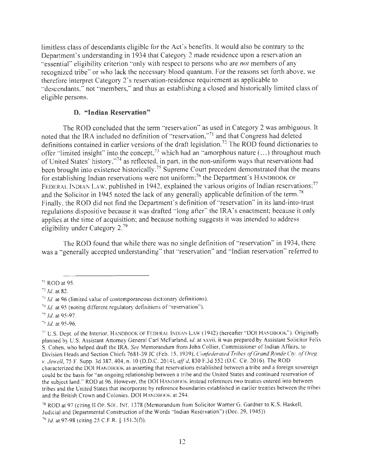limitless class of descendants eligible for the Act's benefits. It would also be contrary to the Department's understanding in 1934 that Category 2 made residence upon a reservation an "essential" eligibility criterion "only with respect to persons who are *not* members of any recognized tribe" or who lack the necessary blood quantum. For the reasons set forth above, we therefore interpret Category 2 's reservation-residence requirement as applicable to ·'descendants," not "members," and thus as establishing a closed and historically limited class of eligible persons.

# **D. "Indian Reservation"**

The ROD concluded that the term "reservation" as used in Category 2 was ambiguous. It noted that the IRA included no definition of "reservation,"<sup>71</sup> and that Congress had deleted definitions contained in earlier versions of the draft legislation.<sup>72</sup> The ROD found dictionaries to offer "limited insight" into the concept,<sup>73</sup> which had an "amorphous nature  $(...)$  throughout much of United States' history,"74 as reflected, in part, in the non-uniform ways that reservations had been brought into existence historically.<sup>75</sup> Supreme Court precedent demonstrated that the means for establishing Indian reservations were not uniform;<sup>76</sup> the Department's HANDBOOK OF FEDERAL INDIAN LAW, published in 1942, explained the various origins of Indian reservations;<sup>77</sup> and the Solicitor in 1945 noted the lack of any generally applicable definition of the term.<sup>78</sup> Finally, the ROD did not find the Department's definition of "reservation" in its land-into-trust regulations dispositive because it was drafted "long after" the IRA's enactment; because it only applies at the time of acquisition; and because nothing suggests it was intended to address eligibility under Category 2.<sup>79</sup>

The ROD found that while there was no single definition of "reservation" in 1934, there was a "generally accepted understanding" that "reservation" and "Indian reservation" referred to

 $71$  ROD at 95.

 $72$  Id. at 82.

 $73$  Id. at 96 (limited value of contemporaneous dictionary definitions).

 $74$  Id. at 95 (noting different regulatory definitions of "reservation").

 $35$  Id. at 95-97.

 $7<sup>6</sup>$  Id. at 95-96.

<sup>77</sup> U.S. Dept. of the Interior, HANDBOOK OF FEDERAL INDIAN LAW ( 1942) (hereafter "DOI HANDBOOK"). Originally planned by U.S. Assistant Anomey General Carl McFarland, *id.* at xxvii, it was prepared by Assistant Solicitor Felix S. Cohen, who helped draft the IRA. *See* Memorandum from John Collier, Commissioner of Indian Affairs, to Division Heads and Section Chiefs 7681-39 JC (Feb. 15, 1939); *Confederated Tribes of Grand Ronde Cty. of Oreg. v. Jewell,* 75 F. Supp. 3d 387, 404, n. 10 (D.D.C. 2014), *aff'd,* 830 F.3d 552 (D.C. Cir. 2016). The ROD characterized the DOI HANDBOOK as asserting that reservations established between a tribe and a foreign sovereign could be the basis for "an ongoing relationship between a tribe and the United States and continued reservation of the subject land." ROD at 96. However, the DOI HANDBOOK instead references two treaties entered into between tribes and the United States that incorporate by reference boundaries established in earlier treaties between the tribes and the British Crown and Colonies. DOI HANDBOOK at 294.

<sup>&</sup>lt;sup>78</sup> ROD at 97 (citing II OP. SOL. INT. 1378 (Memorandum from Solicitor Warner G. Gardner to K.S. Haskell, Judicial and Departmental Construction of the Words ·'Indian Reservation") (Dec. 29, 1945)).  $\frac{79}{1}$  *Id.* at 97-98 (citing 25 C.F.R. § 151.2(f)).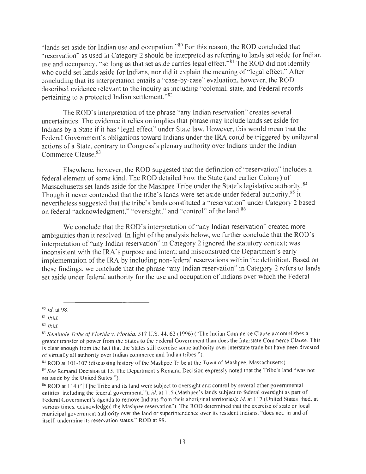"lands set aside for Indian use and occupation."<sup>80</sup> For this reason, the ROD concluded that "reservation" as used in Category 2 should be interpreted as referring to lands set aside for Indian use and occupancy, "so long as that set aside carries legal effect." $81$  The ROD did not identify who could set lands aside for Indians, nor did it explain the meaning of "legal effect." After concluding that its interpretation entails a "case-by-case" evaluation, however, the ROD described evidence relevant to the inquiry as including "colonial, state, and Federal records pertaining to a protected Indian settlement."<sup>82</sup>

The ROD's interpretation of the phrase "any Indian reservation" creates several uncertainties. The evidence it relies on implies that phrase may include lands set aside for Indians by a State if it has " legal effect" under State law. However, this would mean that the Federal Government's obligations toward Indians under the IRA could be triggered by unilateral actions of a State, contrary to Congress's plenary authority over Indians under the Indian Commerce Clause. 83

Elsewhere, however, the ROD suggested that the definition of "reservation" includes a federal element of some kind. The ROD detailed how the State (and earlier Colony) of Massachusetts set lands aside for the Mashpee Tribe under the State's legislative authority.<sup>84</sup> Though it never contended that the tribe's lands were set aside under federal authority,<sup>85</sup> it nevertheless suggested that the tribe's lands constituted a "reservation" under Category 2 based on federal "acknowledgment," "oversight," and "control" of the land.<sup>86</sup>

We conclude that the ROD's interpretation of "any Indian reservation" created more ambiguities than it resolved. In light of the analysis below, we further conclude that the ROD's interpretation of "any Indian reservation" in Category 2 ignored the statutory context; was inconsistent with the IRA's purpose and intent; and misconstrued the Department's early implementation of the IRA by including non-federal reservations within the definition. Based on these findings, we conclude that the phrase "any Indian reservation" in Category 2 refers to lands set aside under federal authority for the use and occupation of Indians over which the Federal

<sup>80</sup>*Id.* at 98.

<sup>81</sup>*Ibid.* 

<sup>82</sup>*Ibid.* 

<sup>83</sup>*Seminole Tribe of Florida v. Florida,* 5 17 U.S. 44, 62 ( 1996) ("'The Indian Commerce Clause accomplishes a greater transfer of power from the States to the Federal Government than does the Interstate Commerce Clause. This is clear enough from the fact that the States still exercise some authority over interstate trade but have been divested of virtually all authority over Indian commerce and Indian tribes.").

<sup>84</sup> ROD at IO 1-107 (discussing history of the Mashpee Tribe at the Town of Mashpee, Massachusetts).

<sup>85</sup>*See* Remand Decision at 15. The Department's Remand Decision expressly noted that the Tribe's land "was not set aside by the United States.").

<sup>86</sup> ROD at 1 14 ("(T]he Tribe and its land were subject to oversight and control by several other governmental entities, including the federal government."); *id.* at 11 5 (Mashpee's lands subject to federal oversight as part of Federal Government's agenda to remove Indians from their aboriginal territories); *id.* at 117 (United States "had, at various times, acknowledged the Mashpee reservation"). The ROD determined that the exercise of state or local municipal government authority over the land or superintendence over its resident Indians, "does not, in and of itself, undermine its reservation status." ROD at 99.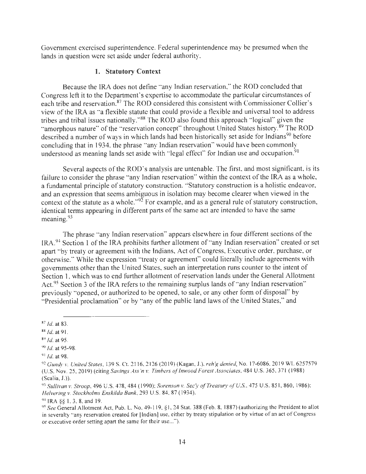Government exercised superintendence. Federal superintendence may be presumed when the lands in question were set aside under federal authority.

### **1. Statutory Context**

Because the IRA does not define " any Indian reservation," the ROD concluded that Congress left it to the Department's expertise to accommodate the particular circumstances of each tribe and reservation.<sup>87</sup> The ROD considered this consistent with Commissioner Collier's view of the IRA as "a flexible statute that could provide a flexible and universal tool to address tribes and tribal issues nationally."<sup>88</sup> The ROD also found this approach "logical" given the "amorphous nature" of the "reservation concept" throughout United States history.<sup>89</sup> The ROD described a number of ways in which lands had been historically set aside for Indians<sup>90</sup> before concluding that in 1934, the phrase "any Indian reservation" would have been commonly understood as meaning lands set aside with "legal effect" for Indian use and occupation.<sup>91</sup>

Several aspects of the ROD's analysis are untenable. The first, and most significant, is its failure to consider the phrase "any Indian reservation" within the context of the IRA as a whole, a fundamental principle of statutory construction. "Statutory construction is a holistic endeavor, and an expression that seems ambiguous in isolation may become clearer when viewed in the context of the statute as a whole." $\frac{95}{2}$  For example, and as a general rule of statutory construction, identical terms appearing in different parts of the same act are intended to have the same meaning.<sup>93</sup>

The phrase "any Indian reservation" appears elsewhere in four different sections of the IRA.94 Section 1 of the IRA prohibits further allotment of "any Indian reservation" created or set apart "by treaty or agreement with the Indians, Act of Congress, Executive order, purchase, or otherwise." While the expression "treaty or agreement" could literally include agreements with governments other than the United States, such an interpretation runs counter to the intent of Section 1, which was to end further allotment of reservation lands under the General Allotment Act.<sup>95</sup> Section 3 of the IRA refers to the remaining surplus lands of "any Indian reservation" previously "opened, or authorized to be opened, to sale, or any other form of disposal" by "Presidential proclamation" or by "any of the public land laws of the United States," and

 $87$  *Id.* at 83.

*<sup>88</sup> ld. at91.* 

<sup>89</sup>*Id.* at 95.

<sup>90</sup>*Id.* at 95-98.

<sup>91</sup>*Id.* at 98.

<sup>92&</sup>lt;sup>92</sup> Gundy v. United States, 139 S. Ct. 2116, 2126 (2019) (Kagan, J.), *reh'g denied*, No. 17-6086, 2019 WL 6257579 (U.S. Nov. 25, 2019) (citing *Savings Ass 'n v. Timbers of Inwood Forest Associates,* 484 U.S. 365, 37 1 ( 1988) (Scalia, J.)).

<sup>93</sup> Sullivan v. Stroop, 496 U.S. 478, 484 (1990); *Sorenson v. Sec'y of Treasury of U.S.*, 475 U.S. 851, 860, 1986); *Helvering v. Stockholms Enskilda Bank,* 293 U.S. 84, 87 ( 1934).

<sup>&</sup>lt;sup>94</sup> IRA §§ 1, 3, 8, and 19.<br><sup>95</sup> *See* General Allotment Act, Pub. L. No. 49-119, §1, 24 Stat. 388 (Feb. 8, 1887) (authorizing the President to allot in severalty "any reservation created for [Indian] use, either by treaty stipulation or by virtue of an act of Congress or executive order setting apart the same for their use...").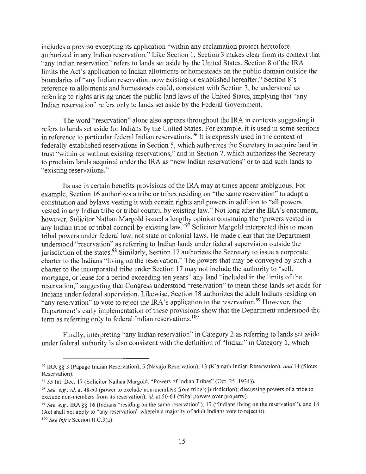includes a proviso excepting its application "within any reclamation project heretofore authorized in any Indian reservation." Like Section 1, Section 3 makes clear from its context that "any Indian reservation" refers to lands set aside by the United States. Section 8 of the IRA limits the Act's application to Indian allotments or homesteads on the public domain outside the boundaries of "any Indian reservation now existing or established hereafter." Section 8's reference to allotments and homesteads could, consistent with Section 3, be understood as referring to rights arising under the public land laws of the United States, implying that "any Indian reservation" refers only to lands set aside by the Federal Government.

The word "reservation" alone also appears throughout the IRA in contexts suggesting it refers to lands set aside for Indians by the United States. For example, it is used in some sections in reference to particular federal Indian reservations. 96 It is expressly used in the context of federally-established reservations in Section 5, which authorizes the Secretary to acquire land in trust "within or without existing reservations," and in Section 7, which authorizes the Secretary to proclaim lands acquired under the IRA as "new Indian reservations" or to add such lands to "existing reservations."

Its use in certain benefits provisions of the IRA may at times appear ambiguous. For example, Section 16 authorizes a tribe or tribes residing on "the same reservation" to adopt a constitution and bylaws vesting it with certain rights and powers in addition to "all powers vested in any Indian tribe or tribal council by existing law." Not long after the IRA's enactment, however, Solicitor Nathan Margold issued a lengthy opinion construing the "powers vested in any Indian tribe or tribal council by existing law."<sup>97</sup> Solicitor Margold interpreted this to mean tribal powers under federal law, not state or colonial laws. He made clear that the Department understood "reservation" as referring to Indian lands under federal supervision outside the jurisdiction of the states.<sup>98</sup> Similarly, Section 17 authorizes the Secretary to issue a corporate charter to the Indians "living on the reservation." The powers that may be conveyed by such a charter to the incorporated tribe under Section 17 may not include the authority to "sell, mortgage, or lease for a period exceeding ten years" any land "included in the limits of the reservation," suggesting that Congress understood "reservation" to mean those lands set aside for Indians under federal supervision. Likewise, Section 18 authorizes the adult Indians residing on "any reservation" to vote to reject the IRA's application to the reservation.<sup>99</sup> However, the Department's early implementation of these provisions show that the Department understood the term as referring only to federal Indian reservations.<sup>100</sup>

Finally, interpreting "any Indian reservation" in Category 2 as referring to lands set aside under federal authority is also consistent with the definition of "Indian" in Category 1, which

<sup>96</sup> IRA §§ 3 (Papago Indian Reservation), 5 (Navajo Reservation), 13 (Klamath Indian Reservation), *and* 14 (Sioux Reservation).

<sup>97 55</sup> Int. Dec. 17 (Solicitor Nathan Margold, "Powers of Indian Tribes" (Oct. 25, 1934)).

<sup>98</sup>*See, e.g., id.* at 48-50 (power to exclude non-members from tribe's jurisdiction); discussing powers of a tribe to exclude non-members from its reservation); *id.* at 50-64 (tribal powers over property).

<sup>99</sup>*See, e.g.,* IRA *§§* 16 (Indians " residing on the same reservation"), 17 (" Indians living on the reservation"), and 18 (Act shall not apply to "any reservation" wherein a majority of adult Indians vote to reject it).

<sup>100</sup>*See infra* Section II.C.3(a).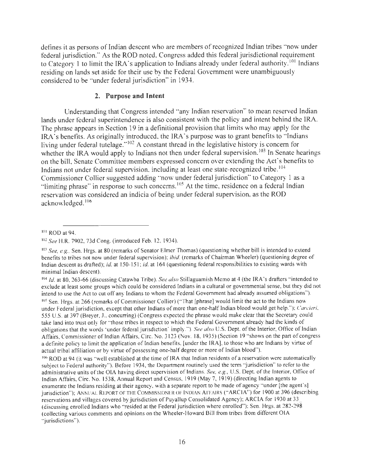defines it as persons of Indian descent who are members of recognized Indian tribes "now under federal jurisdiction." As the ROD noted, Congress added this federal jurisdictional requirement to Category 1 to limit the IRA's application to Indians already under federal authority.<sup>101</sup> Indians residing on lands set aside for their use by the Federal Government were unambiguously considered to be "under federal jurisdiction" in 1934.

### **2. Purpose and Intent**

Understanding that Congress intended "any Indian reservation" to mean reserved Indian lands under federal superintendence is also consistent with the policy and intent behind the IRA. The phrase appears in Section 19 in a definitional provision that limits who may apply for the IRA's benefits. As originally introduced, the IRA's purpose was to grant benefits to "Indians living under federal tutelage."<sup>102</sup> A constant thread in the legislative history is concern for whether the IRA would apply to Indians not then under federal supervision.<sup>103</sup> In Senate hearings on the bill, Senate Committee members expressed concern over extending the Act's benefits to Indians not under federal supervision, including at least one state-recognized tribe.<sup>104</sup> Commissioner Collier suggested adding "now under federal jurisdiction" to Category 1 as a "limiting phrase" in response to such concerns.<sup>105</sup> At the time, residence on a federal Indian reservation was considered an indicia of being under federal supervision, as the ROD acknowledged. <sup>106</sup>

<sup>101</sup> ROD at 94.

<sup>102</sup>*See* H.R. 7902, 73d Cong. (introduced Feb. 12, 1934).

<sup>103</sup>*See, e.g.,* Sen. Hrgs. at 80 (remarks of Senator Elmer Thomas) (questioning whether bill is intended to extend benefits to tribes not now under federal supervision); *ibid.* (remarks of Chairman Wheeler) (questioning degree of Indian descent as drafted); *id.* at 150-151; *id.* at 164 (questioning federal responsibilities to existing wards with minimal Indian descent).

<sup>104</sup>*Id.* at 80, 263-66 (discussing Catawba Tribe). *See also* Stillaguamish Memo at 4 (the IRA 's drafters •'intended to exclude at least some groups which could be considered Indians in a cultural or governmental sense, but they did not intend to use the Act to cut off any Indians to whom the Federal Government had already assumed obligations"). 105 Sen. Hrgs. at 266 (remarks of Commissioner Collier) ("That [phrase] would limit the act to the Indians now under Federal jurisdiction, except that other Indians of more than one-half Indian blood would get help."); *Carcieri,*  555 U.S. at 397 (Breyer, J., concurring) (Congress expected the phrase would make clear that the Secretary could take land into trust only for ·'those tribes in respect to which the Federal Government already had the kinds of obligations that the words ·under federal jurisdiction' imply."). *See also* U.S. Dept. of the Interior, Office of Indian Affairs, Commissioner of Indian Affairs, Circ. No. 3123 (Nov. 18, 1935) (Section 19 "shows on the part of congress a definite policy to limit the application of Indian benefits, [under the IRA], to those who are Indians by virtue of actual tribal affiliation or by virtue of possessing one-half degree or more of Indian blood").

<sup>106</sup>ROD at 94 (it was "well established at the time of IRA that Indian residents of a reservation were automatically subject to Federal authority"). Before 1934, the Department routinely used the term "jurisdiction" to refer to the administrative units of the OIA having direct supervision of Indians. *See, e.g.,* U.S. Dept. of the Interior, Office of Indian Affairs, Circ. No. 1538, Annual Report and Census, 1919 (May 7, 1919) (directing Indian agents to enumerate the Indians residing at their agency, with a separate report to be made of agency "under [the agent's] jurisdiction"); ANNUAL REPORT OF THE COMMISSIONER OF INDIAN AFFAIRS ("ARCIA") for 1900 at 396 (describing reservations and villages covered by jurisdiction of Puyallup Consolidated Agency); ARCIA for 1930 at 33 (discussing enrolled Indians who "resided at the Federal jurisdiction where enrolled"); Sen. Hrgs. at  $282-298$ (collecting various comments and opinions on the Wheeler-Howard Bill from tribes from different OIA ·'jurisdictions").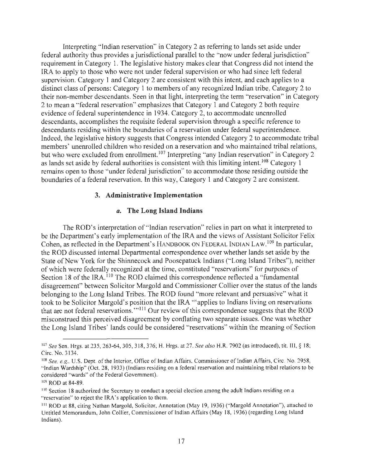Interpreting " Indian reservation" in Category 2 as referring to lands set aside under federal authority thus provides a jurisdictional parallel to the "now under federal jurisdiction" requirement in Category 1. The legislative history makes clear that Congress did not intend the IRA to apply to those who were not under federal supervision or who had since left federal supervision. Category 1 and Category 2 are consistent with this intent, and each applies to a distinct class of persons: Category 1 to members of any recognized Indian tribe, Category 2 to their non-member descendants. Seen in that light, interpreting the term "reservation" in Category 2 to mean a "federal reservation" emphasizes that Category 1 and Category 2 both require evidence of federal superintendence in 1934. Category 2, to accommodate unenrolled descendants, accomplishes the requisite federal supervision through a specific reference to descendants residing within the boundaries of a reservation under federal superintendence. Indeed, the legislative history suggests that Congress intended Category 2 to accommodate tribal members' unenrolled children who resided on a reservation and who maintained tribal relations, but who were excluded from enrollment.<sup>107</sup> Interpreting "any Indian reservation" in Category 2 as lands set aside by federal authorities is consistent with this limiting intent.<sup>108</sup> Category 1 remains open to those "under federal jurisdiction" to accommodate those residing outside the boundaries of a federal reservation. In this way, Category 1 and Category 2 are consistent.

#### **3. Administrative Implementation**

# *a.* **The Long Island Indians**

The ROD's interpretation of " Indian reservation" relies in part on what it interpreted to be the Department's early implementation of the IRA and the views of Assistant Solicitor Felix Cohen, as reflected in the Department's HANDBOOK ON FEDERAL INDIAN LAW.<sup>109</sup> In particular, the ROD discussed internal Departmental correspondence over whether lands set aside by the State of New York for the Shinnecock and Poosepatuck Indians ("Long Island Tribes"), neither of which were federally recognized at the time, constituted "reservations" for purposes of Section 18 of the IRA.<sup>110</sup> The ROD claimed this correspondence reflected a "fundamental disagreement" between Solicitor Margold and Commissioner Collier over the status of the lands belonging to the Long Island Tribes. The ROD found "more relevant and persuasive" what it took to be Solicitor Margold's position that the IRA "'applies to Indians living on reservations that are not federal reservations."<sup>111</sup> Our review of this correspondence suggests that the ROD misconstrued this perceived disagreement by conflating two separate issues. One was whether the Long Island Tribes' lands could be considered "reservations" within the meaning of Section

<sup>107</sup>*See* Sen. Hrgs. at 235, 263-64, 305, 318, 376; H. Hrgs. at 27. *See also* H.R. 7902 (as introduced), tit. III, § 18; Circ. No. 3134.

<sup>108</sup>*See, e.g.,* U.S. Dept. of the Interior, Office of Indian Affairs, Commissioner of Indian Affairs, Circ. No. 2958, " Indian Wardship" (Oct. 28, 1933) (Indians residing on a federal reservation and maintaining tribal relations to be considered "wards" of the Federal Government).

<sup>109</sup>ROD at 84-89.

<sup>110</sup> Section 18 authorized the Secretary to conduct a special election among the adult Indians residing on a " reservation" to reject the IRA's application to them.

<sup>111</sup> ROD at 88, citing Nathan Margold, Solicitor, Annotation (May 19, 1936) ("Margold Annotation"), attached to Untitled Memorandum, John Collier, Commissioner of Indian Affairs (May 18, 1936) (regarding Long Island Indians).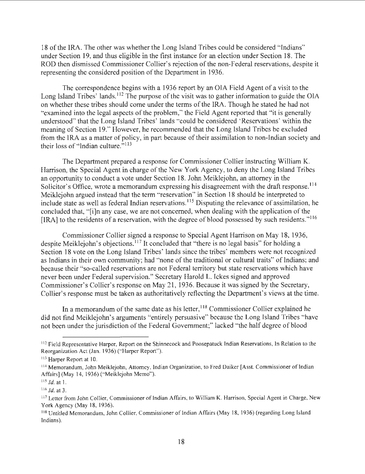18 of the IRA. The other was whether the Long Island Tribes could be considered "Indians" under Section 19, and thus eligible in the first instance for an election under Section 18. The ROD then dismissed Commissioner Collier's rejection of the non-Federal reservations, despite it representing the considered position of the Department in 1936.

The correspondence begins with a 1936 report by an OIA Field Agent of a visit to the Long Island Tribes' lands.<sup>112</sup> The purpose of the visit was to gather information to guide the OIA on whether these tribes should come under the terms of the IRA. Though he stated he had not "examined into the legal aspects of the problem," the Field Agent reported that "it is generally understood" that the Long Island Tribes' lands "could be considered 'Reservations' within the meaning of Section 19." However, he recommended that the Long Island Tribes be excluded from the IRA as a matter of policy, in part because of their assimilation to non-Indian society and their loss of "Indian culture. $\frac{5113}{2}$ 

The Department prepared a response for Commissioner Collier instructing William K. Harrison, the Special Agent in charge of the New York Agency, to deny the Long Island Tribes an opportunity to conduct a vote under Section 18. John Meiklejohn, an attorney in the Solicitor's Office, wrote a memorandum expressing his disagreement with the draft response.<sup>114</sup> Meiklejohn argued instead that the term "reservation" in Section 18 should be interpreted to include state as well as federal Indian reservations.<sup>115</sup> Disputing the relevance of assimilation, he concluded that, "<sup>[i]</sup>n any case, we are not concerned, when dealing with the application of the [IRA] to the residents of a reservation, with the degree of blood possessed by such residents."<sup>116</sup>

Commissioner Collier signed a response to Special Agent Harrison on May 18, 1936, despite Meiklejohn's objections.<sup>117</sup> It concluded that "there is no legal basis" for holding a Section 18 vote on the Long Island Tribes' lands since the tribes' members were not recognized as Indians in their own community; had "none of the traditional or cultural traits" of Indians; and because their "so-called reservations are not Federal territory but state reservations which have never been under Federal supervision." Secretary Harold L. Ickes signed and approved Commissioner's Collier's response on May 21, 1936. Because it was signed by the Secretary, Collier's response must be taken as authoritatively reflecting the Department's views at the time.

In a memorandum of the same date as his letter, <sup>118</sup> Commissioner Collier explained he did not find Meiklejohn's arguments "entirely persuasive" because the Long Island Tribes "have not been under the jurisdiction of the Federal Government;" lacked "the half degree of blood

<sup>&</sup>lt;sup>112</sup> Field Representative Harper, Report on the Shinnecock and Poosepatuck Indian Reservations, In Relation to the Reorganization Act (Jan. 1936) ("Harper Report").

<sup>&</sup>lt;sup>113</sup> Harper Report at 10.<br><sup>114</sup> Memorandum, John Meiklejohn, Attorney, Indian Organization, to Fred Daiker [Asst. Commissioner of Indian Affairs] (May 14, 1936) ("Meiklejohn Memo").

 $^{115}$  *Id.* at 1.

<sup>116</sup> *Id.* at 3.

<sup>&</sup>lt;sup>117</sup> Letter from John Collier, Commissioner of Indian Affairs, to William K. Harrison, Special Agent in Charge, New York Agency (May 18, 1936).

<sup>118</sup>Untitled Memorandum, John Collier, Commissioner of Indian Affairs (May 18, 1936) (regarding Long Island Indians).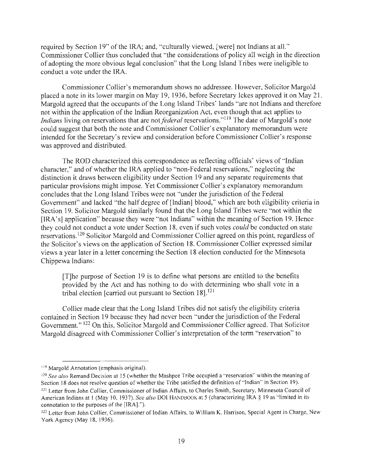required by Section 19" of the IRA; and, "culturally viewed, [were] not Indians at all." Commissioner Collier thus concluded that "the considerations of policy all weigh in the direction of adopting the more obvious legal conclusion" that the Long Island Tribes were ineligible to conduct a vote under the IRA.

Commissioner Collier's memorandum shows no addressee. However, Solicitor Margold placed a note in its lower margin on May 19, 1936, before Secretary Ickes approved it on May 21. Margold agreed that the occupants of the Long Island Tribes' lands "are not Indians and therefore not within the application of the Indian Reorganization Act, even though that act applies to *Indians* living on reservations that are not *federal* reservations."<sup>119</sup> The date of Margold's note could suggest that both the note and Commissioner Collier's explanatory memorandum were intended for the Secretary's review and consideration before Commissioner Collier's response was approved and distributed.

The ROD characterized this correspondence as reflecting officials' views of " Indian character," and of whether the IRA applied to "non-Federal reservations," neglecting the distinction it draws between eligibility under Section 19 and any separate requirements that particular provisions might impose. Yet Commissioner Collier's explanatory memorandum concludes that the Long Island Tribes were not "under the jurisdiction of the Federal Government" and lacked "the half degree of [Indian] blood," which are both eligibility criteria in Section 19. Solicitor Margold similarly found that the Long Island Tribes were "not within the [IRA's] application" because they were "not Indians" within the meaning of Section 19. Hence they could not conduct a vote under Section 18, even if such votes *could* be conducted on state reservations.<sup>120</sup> Solicitor Margold and Commissioner Collier agreed on this point, regardless of the Solicitor's views on the application of Section 18. Commissioner Collier expressed similar views a year later in a letter concerning the Section 18 election conducted for the Minnesota Chippewa Indians:

[T]he purpose of Section 19 is to define what persons are entitled to the benefits provided by the Act and has nothing to do with determining who shall vote in a tribal election [carried out pursuant to Section 18]. <sup>121</sup>

Collier made clear that the Long Island Tribes did not satisfy the eligibility criteria contained in Section 19 because they had never been "under the jurisdiction of the Federal Government." <sup>122</sup> On this, Solicitor Margold and Commissioner Collier agreed. That Solicitor Margold disagreed with Commissioner Collier's interpretation of the term "reservation" to

<sup>&</sup>lt;sup>119</sup> Margold Annotation (emphasis original).

<sup>&</sup>lt;sup>120</sup> See also Remand Decision at 15 (whether the Mashpee Tribe occupied a "reservation" within the meaning of Section 18 does not resolve question of whether the Tribe satisfied the definition of " Indian" in Section 19).

<sup>121</sup> Letter from John Collier, Commissioner of Indian Affairs, to Charles Smith, Secretary, Minnesota Council of American Indians at 1 (May 10, 1937). *See also* DOI HANDBOOK at 5 (characterizing IRA § 19 as "limited in its connotation to the purposes of the [IRA]." ).

<sup>122</sup> Letter from John Collier, Commissioner of Indian Affairs, to William K. Harrison, Special Agent in Charge, New York Agency (May 18, 1936).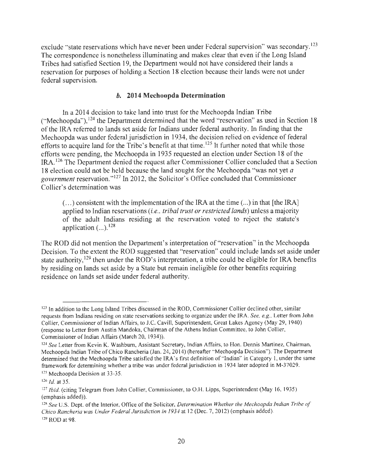exclude "state reservations which have never been under Federal supervision" was secondary.<sup>123</sup> The correspondence is nonetheless illuminating and makes clear that even if the Long Island Tribes had satisfied Section 19, the Department would not have considered their lands a reservation for purposes of holding a Section 18 election because their lands were not under federal supervision.

### *b.* **2014 Mechoopda Determination**

In a 2014 decision to take land into trust for the Mechoopda Indian Tribe ("Mechoopda"), 124 the Department determined that the word " reservation" as used in Section 18 of the IRA referred to lands set aside for Indians under federal authority. In finding that the Mechoopda was under federal jurisdiction in 1934, the decision relied on evidence of federal efforts to acquire land for the Tribe's benefit at that time.<sup>125</sup> It further noted that while those efforts were pending, the Mechoopda in 1935 requested an election under Section 18 of the IRA.<sup>126</sup> The Department denied the request after Commissioner Collier concluded that a Section 18 election could not be held because the land sought for the Mechoopda "was not yet *a government* reservation." 127 In 2012, the Solicitor's Office concluded that Commissioner Collier's determination was

 $(\ldots)$  consistent with the implementation of the IRA at the time  $(\ldots)$  in that [the IRA] applied to Indian reservations *(i.e., tribal trust or restricted lands)* unless a majority of the adult Indians residing at the reservation voted to reject the statute's application  $(...)$ .<sup>128</sup>

The ROD did not mention the Department's interpretation of "reservation" in the Mechoopda Decision. To the extent the ROD suggested that "reservation" could include lands set aside under state authority,  $129$  then under the ROD's interpretation, a tribe could be eligible for IRA benefits by residing on lands set aside by a State but remain ineligible for other benefits requiring residence on lands set aside under federal authority.

<sup>&</sup>lt;sup>123</sup> In addition to the Long Island Tribes discussed in the ROD, Commissioner Collier declined other, similar requests from Lndians residing on state reservations seeking to organize under the IRA. *See, e.g.,* Letter from John Collier, Commissioner of Indian Affairs, to J.C. Cavill, Superintendent, Great Lakes Agency (May 29, 1940) (response to Letter from Austin Mandoka, Chairman of the Athens Indian Committee, to John Collier, Commissioner of Indian Affairs (March 20, 1934)).

<sup>124</sup>*See* Letter from Kevin K. Washburn, Assistant Secretary, Indian Affairs, to Hon. Dennis Martinez, Chairman, Mechoopda Indian Tribe of Chico Rancheria (Jan. 24, 2014) (hereafter " Mechoopda Decision"). The Department determined that the Mechoopda Tribe satisfied the IRA's first definition of " Indian" in Category I, under the same framework for determining whether a tribe was under federal jurisdiction in 1934 later adopted in M-37029.

<sup>&</sup>lt;sup>125</sup> Mechoopda Decision at 33-35.

 $126$  *Id.* at 35.

<sup>127</sup>*Ibid.* (citing Telegram from John Collier, Commissioner, to O.H. Lipps, Superintendent (May 16, 1935) (emphasis added)).

<sup>128</sup>*See* U.S. Dept. of the Interior, Office of the Solicitor, *Determination Whether the Mechoopda Indian Tribe of Chico Rancheria was Under Federal Jurisdiction in 1934* at 12 (Dec. 7, 2012) (emphasis added). <sup>129</sup>ROD at 98.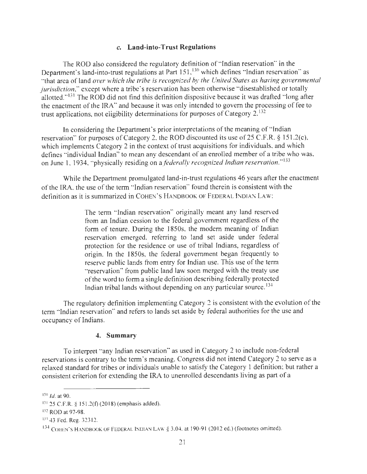#### *c.* **Land-into-Trust Regulations**

The ROD also considered the regulatory definition of "Indian reservation" in the Department's land-into-trust regulations at Part 151,<sup>130</sup> which defines "Indian reservation" as "that area of land *over which the tribe is recognized by the United States as having governmental jurisdiction,"* except where a tribe's reservation has been otherwise "disestablished or totally allotted."<sup>131</sup> The ROD did not find this definition dispositive because it was drafted "long after the enactment of the IRA" and because it was only intended to govern the processing of fee to trust applications, not eligibility determinations for purposes of Category  $2^{132}$ .

In considering the Department's prior interpretations of the meaning of "Indian reservation" for purposes of Category 2, the ROD discounted its use of 25 C.F.R.  $\S$  151.2(c), which implements Category 2 in the context of trust acquisitions for individuals, and which defines "individual Indian" to mean any descendant of an enrolled member of a tribe who was, on June 1, 1934, "physically residing on *afederaffy recognized Indian reservation."*<sup>133</sup>

While the Department promulgated land-in-trust regulations 46 years after the enactment of the IRA, the use of the term "Indian reservation" found therein is consistent with the definition as it is summarized in COHEN'S HANDBOOK OF FEDERAL INDIAN LAW:

> The term "Indian reservation" originally meant any land reserved from an Indian cession to the federal government regardless of the form of tenure. During the 1850s, the modem meaning of Indian reservation emerged, referring to land set aside under federal protection for the residence or use of tribal Indians, regardless of origin. In the 1850s, the federal government began frequently to reserve public lands from entry for Indian use. This use of the term "reservation" from public land law soon merged with the treaty use of the word to form a single definition describing federally protected Indian tribal lands without depending on any particular source. 134

The regulatory definition implementing Category 2 is consistent with the evolution of the term " Indian reservation" and refers to lands set aside by federal authorities for the use and occupancy of Indians.

#### **4. Summary**

To interpret "any Indian reservation" as used in Category 2 to include non-federal reservations is contrary to the term's meaning. Congress did not intend Category 2 to serve as a relaxed standard for tribes or individuals unable to satisfy the Category 1 definition; but rather a consistent criterion for extending the IRA to unenrolled descendants living as part of a

 $130$  *Id.* at 90.

<sup>131 25</sup> C.F.R. § 151.2(f) (2018) (emphasis added).

<sup>132</sup> ROD at 97-98.

<sup>133 43</sup> Fed. Reg. 323 12.

<sup>134</sup> COHEN'S HANDBOOK OF FEDERAL INDIAN LAW § 3.04, at 190-91 (2012 ed.) (footnotes omitted).